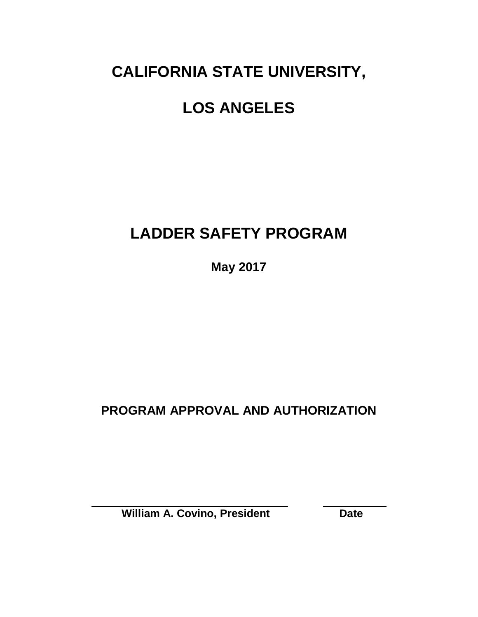# **CALIFORNIA STATE UNIVERSITY,**

# **LOS ANGELES**

## **LADDER SAFETY PROGRAM**

**May 2017**

### **PROGRAM APPROVAL AND AUTHORIZATION**

**William A. Covino, President Date**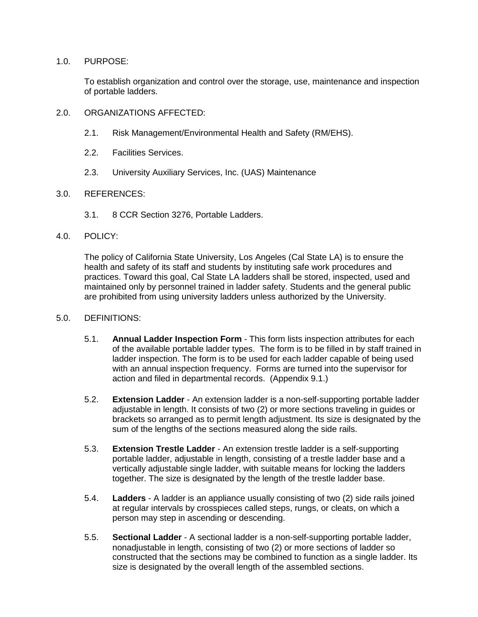#### 1.0. PURPOSE:

To establish organization and control over the storage, use, maintenance and inspection of portable ladders.

- 2.0. ORGANIZATIONS AFFECTED:
	- 2.1. Risk Management/Environmental Health and Safety (RM/EHS).
	- 2.2. Facilities Services.
	- 2.3. University Auxiliary Services, Inc. (UAS) Maintenance

#### 3.0. REFERENCES:

3.1. 8 CCR Section 3276, Portable Ladders.

#### 4.0. POLICY:

The policy of California State University, Los Angeles (Cal State LA) is to ensure the health and safety of its staff and students by instituting safe work procedures and practices. Toward this goal, Cal State LA ladders shall be stored, inspected, used and maintained only by personnel trained in ladder safety. Students and the general public are prohibited from using university ladders unless authorized by the University.

#### 5.0. DEFINITIONS:

- 5.1. **Annual Ladder Inspection Form** This form lists inspection attributes for each of the available portable ladder types. The form is to be filled in by staff trained in ladder inspection. The form is to be used for each ladder capable of being used with an annual inspection frequency. Forms are turned into the supervisor for action and filed in departmental records. (Appendix 9.1.)
- 5.2. **Extension Ladder** An extension ladder is a non-self-supporting portable ladder adjustable in length. It consists of two (2) or more sections traveling in guides or brackets so arranged as to permit length adjustment. Its size is designated by the sum of the lengths of the sections measured along the side rails.
- 5.3. **Extension Trestle Ladder** An extension trestle ladder is a self-supporting portable ladder, adjustable in length, consisting of a trestle ladder base and a vertically adjustable single ladder, with suitable means for locking the ladders together. The size is designated by the length of the trestle ladder base.
- 5.4. **Ladders** A ladder is an appliance usually consisting of two (2) side rails joined at regular intervals by crosspieces called steps, rungs, or cleats, on which a person may step in ascending or descending.
- 5.5. **Sectional Ladder** A sectional ladder is a non-self-supporting portable ladder, nonadjustable in length, consisting of two (2) or more sections of ladder so constructed that the sections may be combined to function as a single ladder. Its size is designated by the overall length of the assembled sections.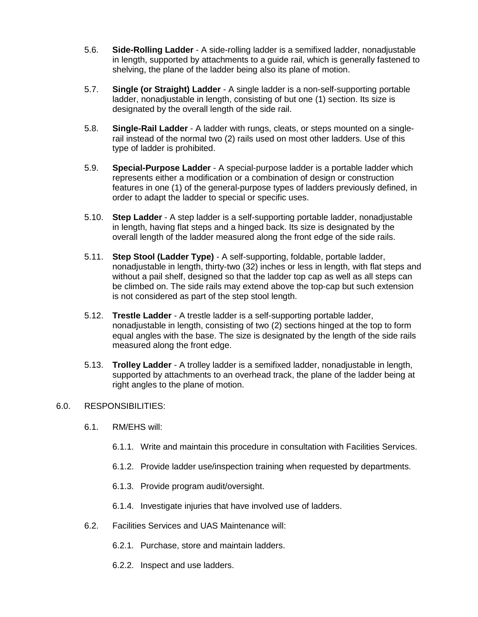- 5.6. **Side-Rolling Ladder** A side-rolling ladder is a semifixed ladder, nonadjustable in length, supported by attachments to a guide rail, which is generally fastened to shelving, the plane of the ladder being also its plane of motion.
- 5.7. **Single (or Straight) Ladder** A single ladder is a non-self-supporting portable ladder, nonadjustable in length, consisting of but one (1) section. Its size is designated by the overall length of the side rail.
- 5.8. **Single-Rail Ladder** A ladder with rungs, cleats, or steps mounted on a singlerail instead of the normal two (2) rails used on most other ladders. Use of this type of ladder is prohibited.
- 5.9. **Special-Purpose Ladder** A special-purpose ladder is a portable ladder which represents either a modification or a combination of design or construction features in one (1) of the general-purpose types of ladders previously defined, in order to adapt the ladder to special or specific uses.
- 5.10. **Step Ladder** A step ladder is a self-supporting portable ladder, nonadjustable in length, having flat steps and a hinged back. Its size is designated by the overall length of the ladder measured along the front edge of the side rails.
- 5.11. **Step Stool (Ladder Type)** A self-supporting, foldable, portable ladder, nonadjustable in length, thirty-two (32) inches or less in length, with flat steps and without a pail shelf, designed so that the ladder top cap as well as all steps can be climbed on. The side rails may extend above the top-cap but such extension is not considered as part of the step stool length.
- 5.12. **Trestle Ladder** A trestle ladder is a self-supporting portable ladder, nonadjustable in length, consisting of two (2) sections hinged at the top to form equal angles with the base. The size is designated by the length of the side rails measured along the front edge.
- 5.13. **Trolley Ladder** A trolley ladder is a semifixed ladder, nonadjustable in length, supported by attachments to an overhead track, the plane of the ladder being at right angles to the plane of motion.

#### 6.0. RESPONSIBILITIES:

- 6.1. RM/EHS will:
	- 6.1.1. Write and maintain this procedure in consultation with Facilities Services.
	- 6.1.2. Provide ladder use/inspection training when requested by departments.
	- 6.1.3. Provide program audit/oversight.
	- 6.1.4. Investigate injuries that have involved use of ladders.
- 6.2. Facilities Services and UAS Maintenance will:
	- 6.2.1. Purchase, store and maintain ladders.
	- 6.2.2. Inspect and use ladders.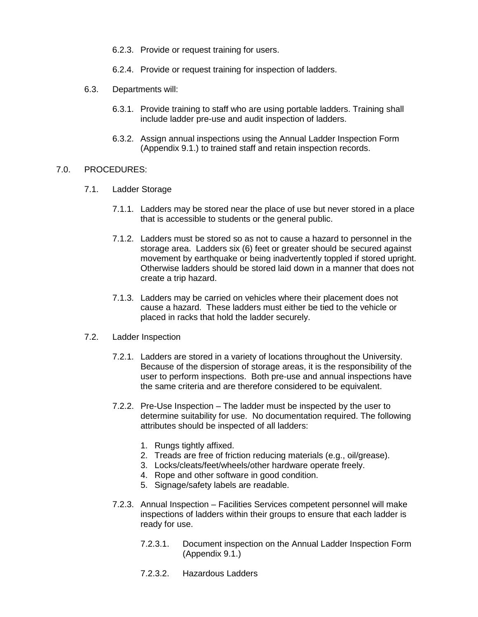- 6.2.3. Provide or request training for users.
- 6.2.4. Provide or request training for inspection of ladders.
- 6.3. Departments will:
	- 6.3.1. Provide training to staff who are using portable ladders. Training shall include ladder pre-use and audit inspection of ladders.
	- 6.3.2. Assign annual inspections using the Annual Ladder Inspection Form (Appendix 9.1.) to trained staff and retain inspection records.

#### 7.0. PROCEDURES:

- 7.1. Ladder Storage
	- 7.1.1. Ladders may be stored near the place of use but never stored in a place that is accessible to students or the general public.
	- 7.1.2. Ladders must be stored so as not to cause a hazard to personnel in the storage area. Ladders six (6) feet or greater should be secured against movement by earthquake or being inadvertently toppled if stored upright. Otherwise ladders should be stored laid down in a manner that does not create a trip hazard.
	- 7.1.3. Ladders may be carried on vehicles where their placement does not cause a hazard. These ladders must either be tied to the vehicle or placed in racks that hold the ladder securely.
- 7.2. Ladder Inspection
	- 7.2.1. Ladders are stored in a variety of locations throughout the University. Because of the dispersion of storage areas, it is the responsibility of the user to perform inspections. Both pre-use and annual inspections have the same criteria and are therefore considered to be equivalent.
	- 7.2.2. Pre-Use Inspection The ladder must be inspected by the user to determine suitability for use. No documentation required. The following attributes should be inspected of all ladders:
		- 1. Rungs tightly affixed.
		- 2. Treads are free of friction reducing materials (e.g., oil/grease).
		- 3. Locks/cleats/feet/wheels/other hardware operate freely.
		- 4. Rope and other software in good condition.
		- 5. Signage/safety labels are readable.
	- 7.2.3. Annual Inspection Facilities Services competent personnel will make inspections of ladders within their groups to ensure that each ladder is ready for use.
		- 7.2.3.1. Document inspection on the Annual Ladder Inspection Form (Appendix 9.1.)
		- 7.2.3.2. Hazardous Ladders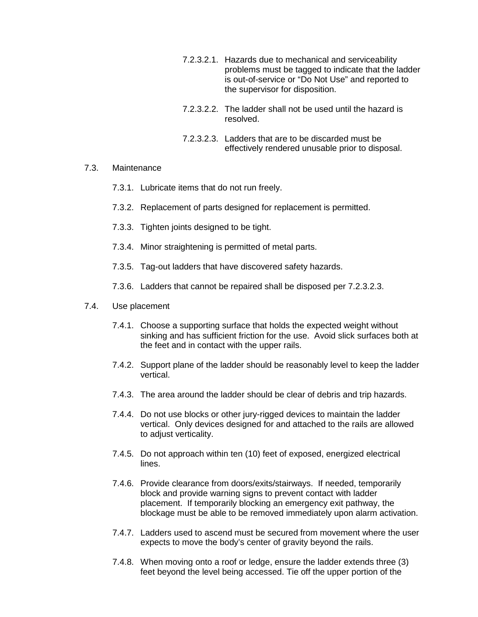- 7.2.3.2.1. Hazards due to mechanical and serviceability problems must be tagged to indicate that the ladder is out-of-service or "Do Not Use" and reported to the supervisor for disposition.
- 7.2.3.2.2. The ladder shall not be used until the hazard is resolved.
- 7.2.3.2.3. Ladders that are to be discarded must be effectively rendered unusable prior to disposal.
- 7.3. Maintenance
	- 7.3.1. Lubricate items that do not run freely.
	- 7.3.2. Replacement of parts designed for replacement is permitted.
	- 7.3.3. Tighten joints designed to be tight.
	- 7.3.4. Minor straightening is permitted of metal parts.
	- 7.3.5. Tag-out ladders that have discovered safety hazards.
	- 7.3.6. Ladders that cannot be repaired shall be disposed per 7.2.3.2.3.

#### 7.4. Use placement

- 7.4.1. Choose a supporting surface that holds the expected weight without sinking and has sufficient friction for the use. Avoid slick surfaces both at the feet and in contact with the upper rails.
- 7.4.2. Support plane of the ladder should be reasonably level to keep the ladder vertical.
- 7.4.3. The area around the ladder should be clear of debris and trip hazards.
- 7.4.4. Do not use blocks or other jury-rigged devices to maintain the ladder vertical. Only devices designed for and attached to the rails are allowed to adjust verticality.
- 7.4.5. Do not approach within ten (10) feet of exposed, energized electrical lines.
- 7.4.6. Provide clearance from doors/exits/stairways. If needed, temporarily block and provide warning signs to prevent contact with ladder placement. If temporarily blocking an emergency exit pathway, the blockage must be able to be removed immediately upon alarm activation.
- 7.4.7. Ladders used to ascend must be secured from movement where the user expects to move the body's center of gravity beyond the rails.
- 7.4.8. When moving onto a roof or ledge, ensure the ladder extends three (3) feet beyond the level being accessed. Tie off the upper portion of the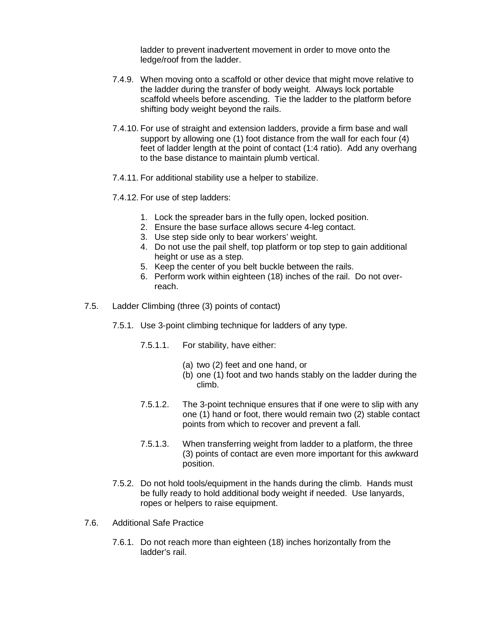ladder to prevent inadvertent movement in order to move onto the ledge/roof from the ladder.

- 7.4.9. When moving onto a scaffold or other device that might move relative to the ladder during the transfer of body weight. Always lock portable scaffold wheels before ascending. Tie the ladder to the platform before shifting body weight beyond the rails.
- 7.4.10. For use of straight and extension ladders, provide a firm base and wall support by allowing one (1) foot distance from the wall for each four (4) feet of ladder length at the point of contact (1:4 ratio). Add any overhang to the base distance to maintain plumb vertical.
- 7.4.11. For additional stability use a helper to stabilize.
- 7.4.12. For use of step ladders:
	- 1. Lock the spreader bars in the fully open, locked position.
	- 2. Ensure the base surface allows secure 4-leg contact.
	- 3. Use step side only to bear workers' weight.
	- 4. Do not use the pail shelf, top platform or top step to gain additional height or use as a step.
	- 5. Keep the center of you belt buckle between the rails.
	- 6. Perform work within eighteen (18) inches of the rail. Do not overreach.
- 7.5. Ladder Climbing (three (3) points of contact)
	- 7.5.1. Use 3-point climbing technique for ladders of any type.
		- 7.5.1.1. For stability, have either:
			- (a) two (2) feet and one hand, or
			- (b) one (1) foot and two hands stably on the ladder during the climb.
		- 7.5.1.2. The 3-point technique ensures that if one were to slip with any one (1) hand or foot, there would remain two (2) stable contact points from which to recover and prevent a fall.
		- 7.5.1.3. When transferring weight from ladder to a platform, the three (3) points of contact are even more important for this awkward position.
	- 7.5.2. Do not hold tools/equipment in the hands during the climb. Hands must be fully ready to hold additional body weight if needed. Use lanyards, ropes or helpers to raise equipment.
- 7.6. Additional Safe Practice
	- 7.6.1. Do not reach more than eighteen (18) inches horizontally from the ladder's rail.